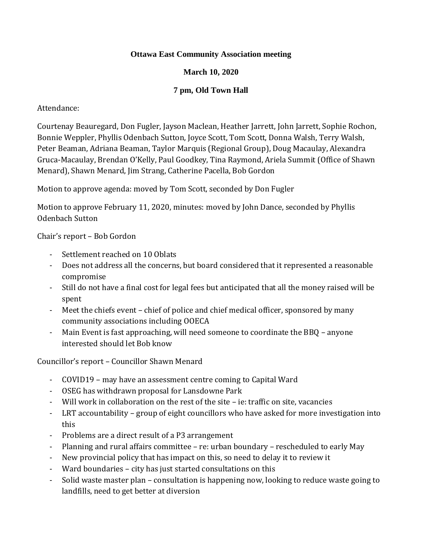#### **Ottawa East Community Association meeting**

## **March 10, 2020**

## **7 pm, Old Town Hall**

## Attendance:

Courtenay Beauregard, Don Fugler, Jayson Maclean, Heather Jarrett, John Jarrett, Sophie Rochon, Bonnie Weppler, Phyllis Odenbach Sutton, Joyce Scott, Tom Scott, Donna Walsh, Terry Walsh, Peter Beaman, Adriana Beaman, Taylor Marquis (Regional Group), Doug Macaulay, Alexandra Gruca-Macaulay, Brendan O'Kelly, Paul Goodkey, Tina Raymond, Ariela Summit (Office of Shawn Menard), Shawn Menard, Jim Strang, Catherine Pacella, Bob Gordon

Motion to approve agenda: moved by Tom Scott, seconded by Don Fugler

Motion to approve February 11, 2020, minutes: moved by John Dance, seconded by Phyllis Odenbach Sutton

Chair's report – Bob Gordon

- Settlement reached on 10 Oblats
- Does not address all the concerns, but board considered that it represented a reasonable compromise
- Still do not have a final cost for legal fees but anticipated that all the money raised will be spent
- Meet the chiefs event chief of police and chief medical officer, sponsored by many community associations including OOECA
- Main Event is fast approaching, will need someone to coordinate the BBQ anyone interested should let Bob know

Councillor's report – Councillor Shawn Menard

- COVID19 may have an assessment centre coming to Capital Ward
- OSEG has withdrawn proposal for Lansdowne Park
- Will work in collaboration on the rest of the site ie: traffic on site, vacancies
- LRT accountability group of eight councillors who have asked for more investigation into this
- Problems are a direct result of a P3 arrangement
- Planning and rural affairs committee re: urban boundary rescheduled to early May
- New provincial policy that has impact on this, so need to delay it to review it
- Ward boundaries city has just started consultations on this
- Solid waste master plan consultation is happening now, looking to reduce waste going to landfills, need to get better at diversion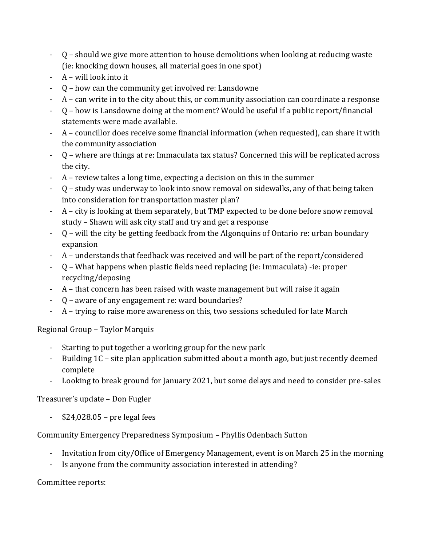- Q should we give more attention to house demolitions when looking at reducing waste (ie: knocking down houses, all material goes in one spot)
- A will look into it
- Q how can the community get involved re: Lansdowne
- A can write in to the city about this, or community association can coordinate a response
- Q how is Lansdowne doing at the moment? Would be useful if a public report/financial statements were made available.
- A councillor does receive some financial information (when requested), can share it with the community association
- Q where are things at re: Immaculata tax status? Concerned this will be replicated across the city.
- A review takes a long time, expecting a decision on this in the summer
- Q study was underway to look into snow removal on sidewalks, any of that being taken into consideration for transportation master plan?
- A city is looking at them separately, but TMP expected to be done before snow removal study – Shawn will ask city staff and try and get a response
- Q will the city be getting feedback from the Algonquins of Ontario re: urban boundary expansion
- A understands that feedback was received and will be part of the report/considered
- Q What happens when plastic fields need replacing (ie: Immaculata) -ie: proper recycling/deposing
- A that concern has been raised with waste management but will raise it again
- Q aware of any engagement re: ward boundaries?
- A trying to raise more awareness on this, two sessions scheduled for late March

# Regional Group – Taylor Marquis

- Starting to put together a working group for the new park
- Building 1C site plan application submitted about a month ago, but just recently deemed complete
- Looking to break ground for January 2021, but some delays and need to consider pre-sales

# Treasurer's update – Don Fugler

 $$24,028.05$  – pre legal fees

# Community Emergency Preparedness Symposium – Phyllis Odenbach Sutton

- Invitation from city/Office of Emergency Management, event is on March 25 in the morning
- Is anyone from the community association interested in attending?

## Committee reports: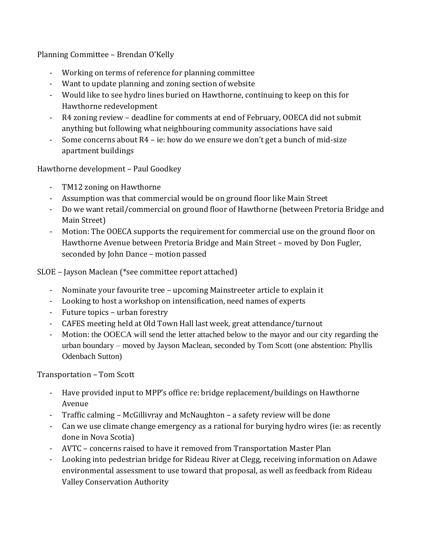Planning Committee – Brendan O'Kelly

- Working on terms of reference for planning committee
- Want to update planning and zoning section of website
- Would like to see hydro lines buried on Hawthorne, continuing to keep on this for Hawthorne redevelopment
- R4 zoning review deadline for comments at end of February, OOECA did not submit anything but following what neighbouring community associations have said
- Some concerns about  $R4$  ie: how do we ensure we don't get a bunch of mid-size apartment buildings

Hawthorne development – Paul Goodkey

- TM12 zoning on Hawthorne
- Assumption was that commercial would be on ground floor like Main Street
- Do we want retail/commercial on ground floor of Hawthorne (between Pretoria Bridge and Main Street)
- Motion: The OOECA supports the requirement for commercial use on the ground floor on Hawthorne Avenue between Pretoria Bridge and Main Street – moved by Don Fugler, seconded by John Dance – motion passed

SLOE – Jayson Maclean (\*see committee report attached)

- Nominate your favourite tree upcoming Mainstreeter article to explain it
- Looking to host a workshop on intensification, need names of experts
- Future topics urban forestry
- CAFES meeting held at Old Town Hall last week, great attendance/turnout
- Motion: the OOECA will send the letter attached below to the mayor and our city regarding the urban boundary – moved by Jayson Maclean, seconded by Tom Scott (one abstention: Phyllis Odenbach Sutton)

Transportation – Tom Scott

- Have provided input to MPP's office re: bridge replacement/buildings on Hawthorne Avenue
- Traffic calming McGillivray and McNaughton a safety review will be done
- Can we use climate change emergency as a rational for burying hydro wires (ie: as recently done in Nova Scotia)
- AVTC concerns raised to have it removed from Transportation Master Plan
- Looking into pedestrian bridge for Rideau River at Clegg, receiving information on Adawe environmental assessment to use toward that proposal, as well as feedback from Rideau Valley Conservation Authority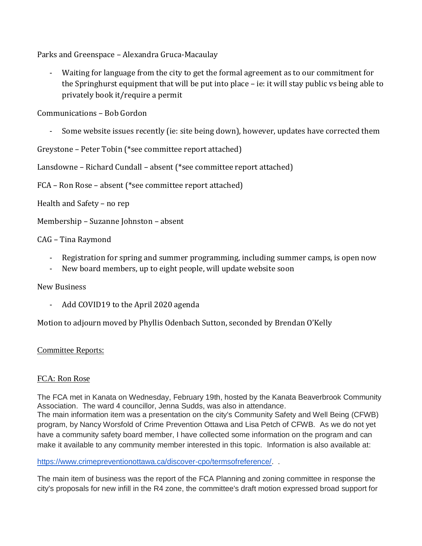Parks and Greenspace – Alexandra Gruca-Macaulay

Waiting for language from the city to get the formal agreement as to our commitment for the Springhurst equipment that will be put into place – ie: it will stay public vs being able to privately book it/require a permit

Communications – Bob Gordon

Some website issues recently (ie: site being down), however, updates have corrected them

Greystone – Peter Tobin (\*see committee report attached)

Lansdowne – Richard Cundall – absent (\*see committee report attached)

FCA – Ron Rose – absent (\*see committee report attached)

Health and Safety – no rep

Membership – Suzanne Johnston – absent

CAG – Tina Raymond

- Registration for spring and summer programming, including summer camps, is open now
- New board members, up to eight people, will update website soon

New Business

Add COVID19 to the April 2020 agenda

Motion to adjourn moved by Phyllis Odenbach Sutton, seconded by Brendan O'Kelly

#### Committee Reports:

#### FCA: Ron Rose

The FCA met in Kanata on Wednesday, February 19th, hosted by the Kanata Beaverbrook Community Association. The ward 4 councillor, Jenna Sudds, was also in attendance. The main information item was a presentation on the city's Community Safety and Well Being (CFWB) program, by Nancy Worsfold of Crime Prevention Ottawa and Lisa Petch of CFWB. As we do not yet have a community safety board member, I have collected some information on the program and can make it available to any community member interested in this topic. Information is also available at:

[https://www.crimepreventionottawa.ca/discover-cpo/termsofreference/.](https://www.crimepreventionottawa.ca/discover-cpo/termsofreference/) .

The main item of business was the report of the FCA Planning and zoning committee in response the city's proposals for new infill in the R4 zone, the committee's draft motion expressed broad support for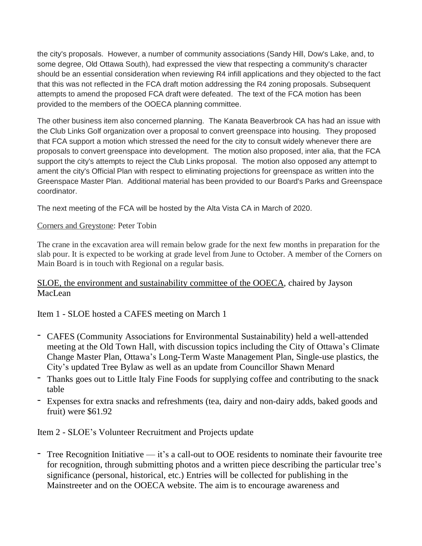the city's proposals. However, a number of community associations (Sandy Hill, Dow's Lake, and, to some degree, Old Ottawa South), had expressed the view that respecting a community's character should be an essential consideration when reviewing R4 infill applications and they objected to the fact that this was not reflected in the FCA draft motion addressing the R4 zoning proposals. Subsequent attempts to amend the proposed FCA draft were defeated. The text of the FCA motion has been provided to the members of the OOECA planning committee.

The other business item also concerned planning. The Kanata Beaverbrook CA has had an issue with the Club Links Golf organization over a proposal to convert greenspace into housing. They proposed that FCA support a motion which stressed the need for the city to consult widely whenever there are proposals to convert greenspace into development. The motion also proposed, inter alia, that the FCA support the city's attempts to reject the Club Links proposal. The motion also opposed any attempt to ament the city's Official Plan with respect to eliminating projections for greenspace as written into the Greenspace Master Plan. Additional material has been provided to our Board's Parks and Greenspace coordinator.

The next meeting of the FCA will be hosted by the Alta Vista CA in March of 2020.

#### Corners and Greystone: Peter Tobin

The crane in the excavation area will remain below grade for the next few months in preparation for the slab pour. It is expected to be working at grade level from June to October. A member of the Corners on Main Board is in touch with Regional on a regular basis.

#### SLOE, the environment and sustainability committee of the OOECA, chaired by Jayson MacLean

Item 1 - SLOE hosted a CAFES meeting on March 1

- CAFES (Community Associations for Environmental Sustainability) held a well-attended meeting at the Old Town Hall, with discussion topics including the City of Ottawa's Climate Change Master Plan, Ottawa's Long-Term Waste Management Plan, Single-use plastics, the City's updated Tree Bylaw as well as an update from Councillor Shawn Menard
- Thanks goes out to Little Italy Fine Foods for supplying coffee and contributing to the snack table
- Expenses for extra snacks and refreshments (tea, dairy and non-dairy adds, baked goods and fruit) were \$61.92

Item 2 - SLOE's Volunteer Recruitment and Projects update

- Tree Recognition Initiative — it's a call-out to OOE residents to nominate their favourite tree for recognition, through submitting photos and a written piece describing the particular tree's significance (personal, historical, etc.) Entries will be collected for publishing in the Mainstreeter and on the OOECA website. The aim is to encourage awareness and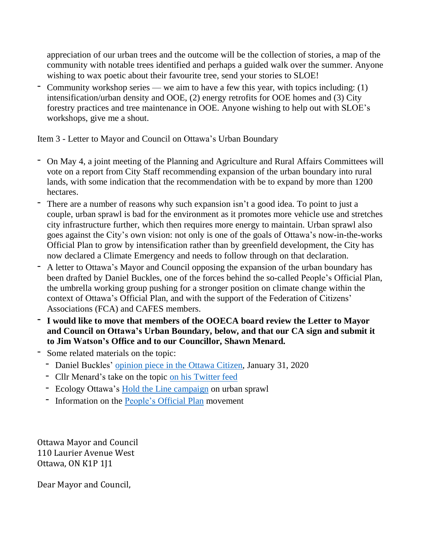appreciation of our urban trees and the outcome will be the collection of stories, a map of the community with notable trees identified and perhaps a guided walk over the summer. Anyone wishing to wax poetic about their favourite tree, send your stories to SLOE!

- Community workshop series — we aim to have a few this year, with topics including: (1) intensification/urban density and OOE, (2) energy retrofits for OOE homes and (3) City forestry practices and tree maintenance in OOE. Anyone wishing to help out with SLOE's workshops, give me a shout.

Item 3 - Letter to Mayor and Council on Ottawa's Urban Boundary

- On May 4, a joint meeting of the Planning and Agriculture and Rural Affairs Committees will vote on a report from City Staff recommending expansion of the urban boundary into rural lands, with some indication that the recommendation with be to expand by more than 1200 hectares.
- There are a number of reasons why such expansion isn't a good idea. To point to just a couple, urban sprawl is bad for the environment as it promotes more vehicle use and stretches city infrastructure further, which then requires more energy to maintain. Urban sprawl also goes against the City's own vision: not only is one of the goals of Ottawa's now-in-the-works Official Plan to grow by intensification rather than by greenfield development, the City has now declared a Climate Emergency and needs to follow through on that declaration.
- A letter to Ottawa's Mayor and Council opposing the expansion of the urban boundary has been drafted by Daniel Buckles, one of the forces behind the so-called People's Official Plan, the umbrella working group pushing for a stronger position on climate change within the context of Ottawa's Official Plan, and with the support of the Federation of Citizens' Associations (FCA) and CAFES members.
- **- I would like to move that members of the OOECA board review the Letter to Mayor and Council on Ottawa's Urban Boundary, below, and that our CA sign and submit it to Jim Watson's Office and to our Councillor, Shawn Menard.**
- Some related materials on the topic:
	- Daniel Buckles' [opinion](https://ottawacitizen.com/opinion/columnists/buckles-city-of-ottawa-needs-to-hold-the-line-on-urban-sprawl) piece in the Ottawa Citizen, January 31, 2020
	- Cllr Menard's take on the topic on his [Twitter](https://twitter.com/ShawnMenard1/status/1224310788422324226) feed
	- Ecology Ottawa's Hold the Line [campaign](https://ecologyottawa.ca/2019/08/28/hold-the-line-a-campaign-to-stop-urban-sprawl/) on urban sprawl
	- Information on the [People's](https://www.ottawaclimatesolutions.net/) Official Plan movement

Ottawa Mayor and Council 110 Laurier Avenue West Ottawa, ON K1P 1J1

Dear Mayor and Council,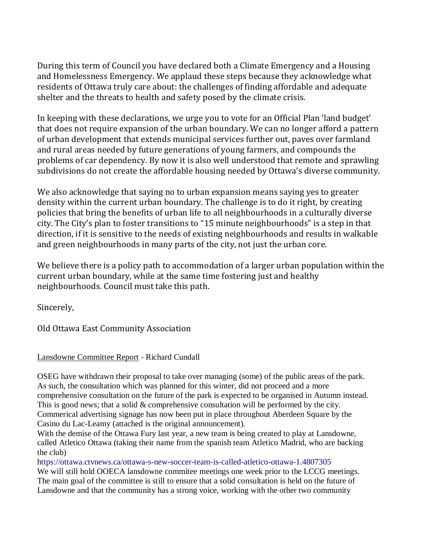During this term of Council you have declared both a Climate Emergency and a Housing and Homelessness Emergency. We applaud these steps because they acknowledge what residents of Ottawa truly care about: the challenges of finding affordable and adequate shelter and the threats to health and safety posed by the climate crisis.

In keeping with these declarations, we urge you to vote for an Official Plan 'land budget' that does not require expansion of the urban boundary. We can no longer afford a pattern of urban development that extends municipal services further out, paves over farmland and rural areas needed by future generations of young farmers, and compounds the problems of car dependency. By now it is also well understood that remote and sprawling subdivisions do not create the affordable housing needed by Ottawa's diverse community.

We also acknowledge that saying no to urban expansion means saying yes to greater density within the current urban boundary. The challenge is to do it right, by creating policies that bring the benefits of urban life to all neighbourhoods in a culturally diverse city. The City's plan to foster transitions to "15 minute neighbourhoods" is a step in that direction, if it is sensitive to the needs of existing neighbourhoods and results in walkable and green neighbourhoods in many parts of the city, not just the urban core.

We believe there is a policy path to accommodation of a larger urban population within the current urban boundary, while at the same time fostering just and healthy neighbourhoods. Council must take this path.

Sincerely,

Old Ottawa East Community Association

## Lansdowne Committee Report - Richard Cundall

OSEG have withdrawn their proposal to take over managing (some) of the public areas of the park. As such, the consultation which was planned for this winter, did not proceed and a more comprehensive consultation on the future of the park is expected to be organised in Autumn instead. This is good news; that a solid & comprehensive consultation will be performed by the city. Commerical advertising signage has now been put in place throughout Aberdeen Square by the Casino du Lac-Leamy (attached is the original announcement).

With the demise of the Ottawa Fury last year, a new team is being created to play at Lansdowne, called Atletico Ottawa (taking their name from the spanish team Atletico Madrid, who are backing the club)

https://ottawa.ctvnews.ca/ottawa-s-new-soccer-team-is-called-atletico-ottawa-1.4807305

We will still hold OOECA lansdowne commitee meetings one week prior to the LCCG meetings. The main goal of the committee is still to ensure that a solid consultation is held on the future of Lansdowne and that the community has a strong voice, working with the other two community